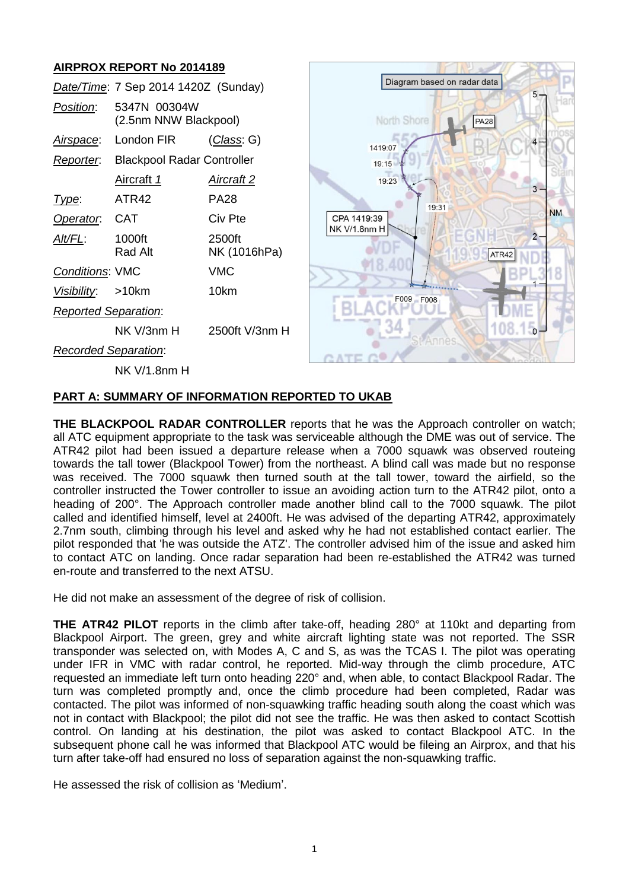# **AIRPROX REPORT No 2014189**



## **PART A: SUMMARY OF INFORMATION REPORTED TO UKAB**

**THE BLACKPOOL RADAR CONTROLLER** reports that he was the Approach controller on watch: all ATC equipment appropriate to the task was serviceable although the DME was out of service. The ATR42 pilot had been issued a departure release when a 7000 squawk was observed routeing towards the tall tower (Blackpool Tower) from the northeast. A blind call was made but no response was received. The 7000 squawk then turned south at the tall tower, toward the airfield, so the controller instructed the Tower controller to issue an avoiding action turn to the ATR42 pilot, onto a heading of 200°. The Approach controller made another blind call to the 7000 squawk. The pilot called and identified himself, level at 2400ft. He was advised of the departing ATR42, approximately 2.7nm south, climbing through his level and asked why he had not established contact earlier. The pilot responded that 'he was outside the ATZ'. The controller advised him of the issue and asked him to contact ATC on landing. Once radar separation had been re-established the ATR42 was turned en-route and transferred to the next ATSU.

He did not make an assessment of the degree of risk of collision.

**THE ATR42 PILOT** reports in the climb after take-off, heading 280° at 110kt and departing from Blackpool Airport. The green, grey and white aircraft lighting state was not reported. The SSR transponder was selected on, with Modes A, C and S, as was the TCAS I. The pilot was operating under IFR in VMC with radar control, he reported. Mid-way through the climb procedure, ATC requested an immediate left turn onto heading 220° and, when able, to contact Blackpool Radar. The turn was completed promptly and, once the climb procedure had been completed, Radar was contacted. The pilot was informed of non-squawking traffic heading south along the coast which was not in contact with Blackpool; the pilot did not see the traffic. He was then asked to contact Scottish control. On landing at his destination, the pilot was asked to contact Blackpool ATC. In the subsequent phone call he was informed that Blackpool ATC would be fileing an Airprox, and that his turn after take-off had ensured no loss of separation against the non-squawking traffic.

He assessed the risk of collision as 'Medium'.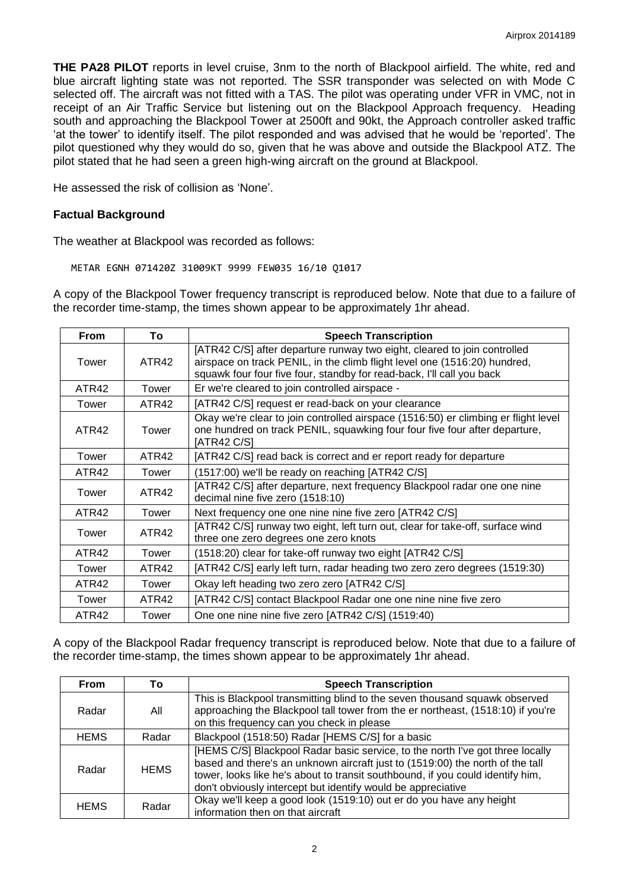**THE PA28 PILOT** reports in level cruise, 3nm to the north of Blackpool airfield. The white, red and blue aircraft lighting state was not reported. The SSR transponder was selected on with Mode C selected off. The aircraft was not fitted with a TAS. The pilot was operating under VFR in VMC, not in receipt of an Air Traffic Service but listening out on the Blackpool Approach frequency. Heading south and approaching the Blackpool Tower at 2500ft and 90kt, the Approach controller asked traffic 'at the tower' to identify itself. The pilot responded and was advised that he would be 'reported'. The pilot questioned why they would do so, given that he was above and outside the Blackpool ATZ. The pilot stated that he had seen a green high-wing aircraft on the ground at Blackpool.

He assessed the risk of collision as 'None'.

# **Factual Background**

The weather at Blackpool was recorded as follows:

METAR EGNH 071420Z 31009KT 9999 FEW035 16/10 Q1017

A copy of the Blackpool Tower frequency transcript is reproduced below. Note that due to a failure of the recorder time-stamp, the times shown appear to be approximately 1hr ahead.

| <b>From</b> | To    | <b>Speech Transcription</b>                                                                                                                                                                                                    |
|-------------|-------|--------------------------------------------------------------------------------------------------------------------------------------------------------------------------------------------------------------------------------|
| Tower       | ATR42 | [ATR42 C/S] after departure runway two eight, cleared to join controlled<br>airspace on track PENIL, in the climb flight level one (1516:20) hundred,<br>squawk four four five four, standby for read-back, I'll call you back |
| ATR42       | Tower | Er we're cleared to join controlled airspace -                                                                                                                                                                                 |
| Tower       | ATR42 | [ATR42 C/S] request er read-back on your clearance                                                                                                                                                                             |
| ATR42       | Tower | Okay we're clear to join controlled airspace (1516:50) er climbing er flight level<br>one hundred on track PENIL, squawking four four five four after departure,<br>[ATR42 C/S]                                                |
| Tower       | ATR42 | [ATR42 C/S] read back is correct and er report ready for departure                                                                                                                                                             |
| ATR42       | Tower | (1517:00) we'll be ready on reaching [ATR42 C/S]                                                                                                                                                                               |
| Tower       | ATR42 | [ATR42 C/S] after departure, next frequency Blackpool radar one one nine<br>decimal nine five zero (1518:10)                                                                                                                   |
| ATR42       | Tower | Next frequency one one nine nine five zero [ATR42 C/S]                                                                                                                                                                         |
| Tower       | ATR42 | [ATR42 C/S] runway two eight, left turn out, clear for take-off, surface wind<br>three one zero degrees one zero knots                                                                                                         |
| ATR42       | Tower | (1518:20) clear for take-off runway two eight [ATR42 C/S]                                                                                                                                                                      |
| Tower       | ATR42 | [ATR42 C/S] early left turn, radar heading two zero zero degrees (1519:30)                                                                                                                                                     |
| ATR42       | Tower | Okay left heading two zero zero [ATR42 C/S]                                                                                                                                                                                    |
| Tower       | ATR42 | [ATR42 C/S] contact Blackpool Radar one one nine nine five zero                                                                                                                                                                |
| ATR42       | Tower | One one nine nine five zero [ATR42 C/S] (1519:40)                                                                                                                                                                              |

A copy of the Blackpool Radar frequency transcript is reproduced below. Note that due to a failure of the recorder time-stamp, the times shown appear to be approximately 1hr ahead.

| From        | Τo          | <b>Speech Transcription</b>                                                                                                                                                                                                                                                                                      |
|-------------|-------------|------------------------------------------------------------------------------------------------------------------------------------------------------------------------------------------------------------------------------------------------------------------------------------------------------------------|
| Radar       | All         | This is Blackpool transmitting blind to the seven thousand squawk observed<br>approaching the Blackpool tall tower from the er northeast, (1518:10) if you're<br>on this frequency can you check in please                                                                                                       |
| <b>HEMS</b> | Radar       | Blackpool (1518:50) Radar [HEMS C/S] for a basic                                                                                                                                                                                                                                                                 |
| Radar       | <b>HEMS</b> | [HEMS C/S] Blackpool Radar basic service, to the north I've got three locally<br>based and there's an unknown aircraft just to (1519:00) the north of the tall<br>tower, looks like he's about to transit southbound, if you could identify him,<br>don't obviously intercept but identify would be appreciative |
| <b>HEMS</b> | Radar       | Okay we'll keep a good look (1519:10) out er do you have any height<br>information then on that aircraft                                                                                                                                                                                                         |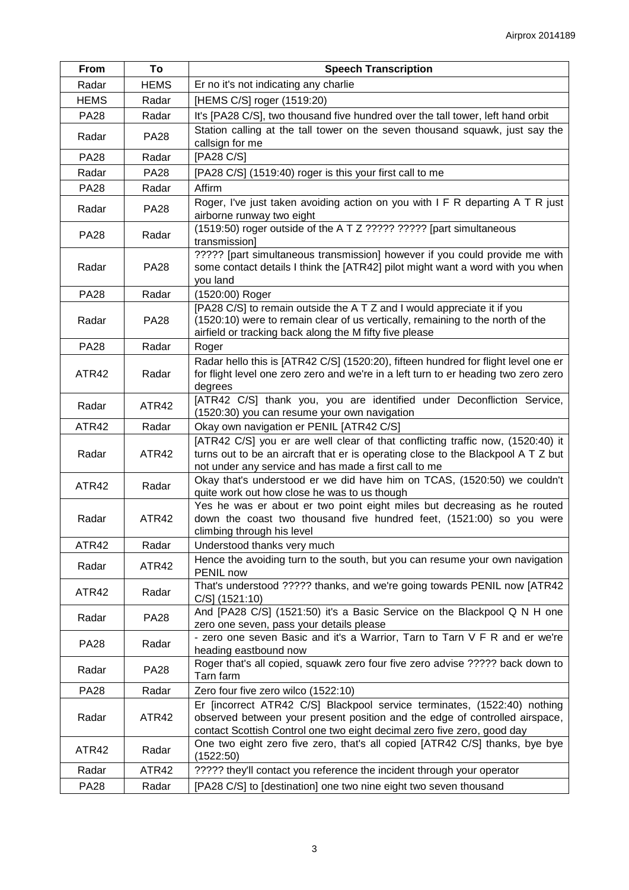| From        | To          | <b>Speech Transcription</b>                                                                                                                                                                                                        |
|-------------|-------------|------------------------------------------------------------------------------------------------------------------------------------------------------------------------------------------------------------------------------------|
| Radar       | <b>HEMS</b> | Er no it's not indicating any charlie                                                                                                                                                                                              |
| <b>HEMS</b> | Radar       | [HEMS C/S] roger (1519:20)                                                                                                                                                                                                         |
| <b>PA28</b> | Radar       | It's [PA28 C/S], two thousand five hundred over the tall tower, left hand orbit                                                                                                                                                    |
| Radar       | <b>PA28</b> | Station calling at the tall tower on the seven thousand squawk, just say the<br>callsign for me                                                                                                                                    |
| <b>PA28</b> | Radar       | [PA28 C/S]                                                                                                                                                                                                                         |
| Radar       | <b>PA28</b> | [PA28 C/S] (1519:40) roger is this your first call to me                                                                                                                                                                           |
| <b>PA28</b> | Radar       | Affirm                                                                                                                                                                                                                             |
| Radar       | <b>PA28</b> | Roger, I've just taken avoiding action on you with I F R departing A T R just<br>airborne runway two eight                                                                                                                         |
| <b>PA28</b> | Radar       | (1519:50) roger outside of the A T Z ????? ????? [part simultaneous<br>transmission]                                                                                                                                               |
| Radar       | <b>PA28</b> | ????? [part simultaneous transmission] however if you could provide me with<br>some contact details I think the [ATR42] pilot might want a word with you when<br>you land                                                          |
| <b>PA28</b> | Radar       | (1520:00) Roger                                                                                                                                                                                                                    |
| Radar       | <b>PA28</b> | [PA28 C/S] to remain outside the A T Z and I would appreciate it if you<br>(1520:10) were to remain clear of us vertically, remaining to the north of the<br>airfield or tracking back along the M fifty five please               |
| <b>PA28</b> | Radar       | Roger                                                                                                                                                                                                                              |
| ATR42       | Radar       | Radar hello this is [ATR42 C/S] (1520:20), fifteen hundred for flight level one er<br>for flight level one zero zero and we're in a left turn to er heading two zero zero<br>degrees                                               |
| Radar       | ATR42       | [ATR42 C/S] thank you, you are identified under Deconfliction Service,<br>(1520:30) you can resume your own navigation                                                                                                             |
| ATR42       | Radar       | Okay own navigation er PENIL [ATR42 C/S]                                                                                                                                                                                           |
| Radar       | ATR42       | [ATR42 C/S] you er are well clear of that conflicting traffic now, (1520:40) it<br>turns out to be an aircraft that er is operating close to the Blackpool A T Z but<br>not under any service and has made a first call to me      |
| ATR42       | Radar       | Okay that's understood er we did have him on TCAS, (1520:50) we couldn't<br>quite work out how close he was to us though                                                                                                           |
| Radar       | ATR42       | Yes he was er about er two point eight miles but decreasing as he routed<br>down the coast two thousand five hundred feet, (1521:00) so you were<br>climbing through his level                                                     |
| ATR42       | Radar       | Understood thanks very much                                                                                                                                                                                                        |
| Radar       | ATR42       | Hence the avoiding turn to the south, but you can resume your own navigation<br>PENIL now                                                                                                                                          |
| ATR42       | Radar       | That's understood ????? thanks, and we're going towards PENIL now [ATR42]<br>$C/S$ ] (1521:10)                                                                                                                                     |
| Radar       | <b>PA28</b> | And [PA28 C/S] (1521:50) it's a Basic Service on the Blackpool Q N H one<br>zero one seven, pass your details please                                                                                                               |
| <b>PA28</b> | Radar       | - zero one seven Basic and it's a Warrior, Tarn to Tarn V F R and er we're<br>heading eastbound now                                                                                                                                |
| Radar       | <b>PA28</b> | Roger that's all copied, squawk zero four five zero advise ????? back down to<br>Tarn farm                                                                                                                                         |
| <b>PA28</b> | Radar       | Zero four five zero wilco (1522:10)                                                                                                                                                                                                |
| Radar       | ATR42       | Er [incorrect ATR42 C/S] Blackpool service terminates, (1522:40) nothing<br>observed between your present position and the edge of controlled airspace,<br>contact Scottish Control one two eight decimal zero five zero, good day |
| ATR42       | Radar       | One two eight zero five zero, that's all copied [ATR42 C/S] thanks, bye bye<br>(1522:50)                                                                                                                                           |
| Radar       | ATR42       | ????? they'll contact you reference the incident through your operator                                                                                                                                                             |
| <b>PA28</b> | Radar       | [PA28 C/S] to [destination] one two nine eight two seven thousand                                                                                                                                                                  |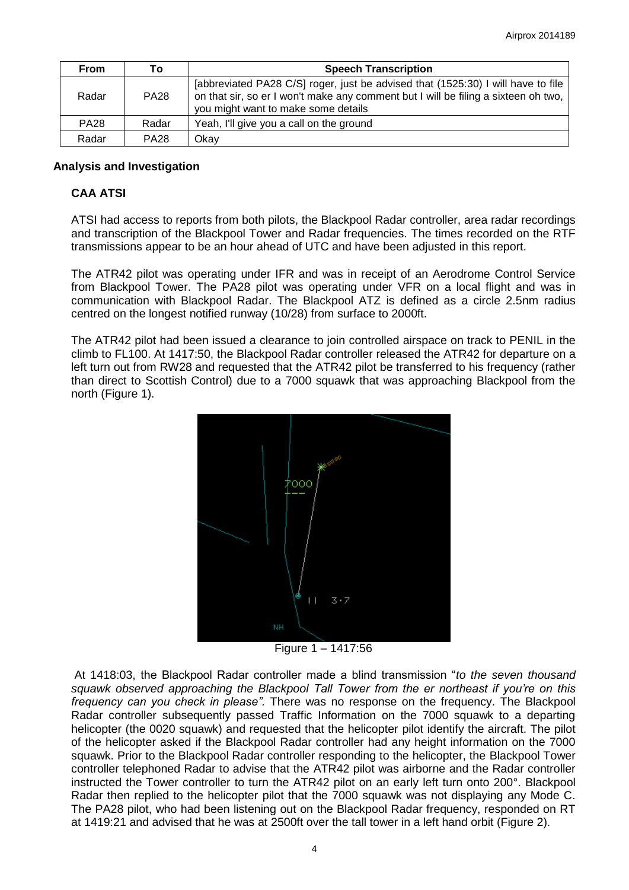| <b>From</b> | Τo          | <b>Speech Transcription</b>                                                                                                                                                                                   |
|-------------|-------------|---------------------------------------------------------------------------------------------------------------------------------------------------------------------------------------------------------------|
| Radar       | <b>PA28</b> | [abbreviated PA28 C/S] roger, just be advised that (1525:30) I will have to file<br>on that sir, so er I won't make any comment but I will be filing a sixteen oh two,<br>you might want to make some details |
| <b>PA28</b> | Radar       | Yeah, I'll give you a call on the ground                                                                                                                                                                      |
| Radar       | <b>PA28</b> | Okav                                                                                                                                                                                                          |

## **Analysis and Investigation**

## **CAA ATSI**

ATSI had access to reports from both pilots, the Blackpool Radar controller, area radar recordings and transcription of the Blackpool Tower and Radar frequencies. The times recorded on the RTF transmissions appear to be an hour ahead of UTC and have been adjusted in this report.

The ATR42 pilot was operating under IFR and was in receipt of an Aerodrome Control Service from Blackpool Tower. The PA28 pilot was operating under VFR on a local flight and was in communication with Blackpool Radar. The Blackpool ATZ is defined as a circle 2.5nm radius centred on the longest notified runway (10/28) from surface to 2000ft.

The ATR42 pilot had been issued a clearance to join controlled airspace on track to PENIL in the climb to FL100. At 1417:50, the Blackpool Radar controller released the ATR42 for departure on a left turn out from RW28 and requested that the ATR42 pilot be transferred to his frequency (rather than direct to Scottish Control) due to a 7000 squawk that was approaching Blackpool from the north (Figure 1).



Figure 1 – 1417:56

 At 1418:03, the Blackpool Radar controller made a blind transmission "*to the seven thousand squawk observed approaching the Blackpool Tall Tower from the er northeast if you're on this frequency can you check in please".* There was no response on the frequency. The Blackpool Radar controller subsequently passed Traffic Information on the 7000 squawk to a departing helicopter (the 0020 squawk) and requested that the helicopter pilot identify the aircraft. The pilot of the helicopter asked if the Blackpool Radar controller had any height information on the 7000 squawk. Prior to the Blackpool Radar controller responding to the helicopter, the Blackpool Tower controller telephoned Radar to advise that the ATR42 pilot was airborne and the Radar controller instructed the Tower controller to turn the ATR42 pilot on an early left turn onto 200°. Blackpool Radar then replied to the helicopter pilot that the 7000 squawk was not displaying any Mode C. The PA28 pilot, who had been listening out on the Blackpool Radar frequency, responded on RT at 1419:21 and advised that he was at 2500ft over the tall tower in a left hand orbit (Figure 2).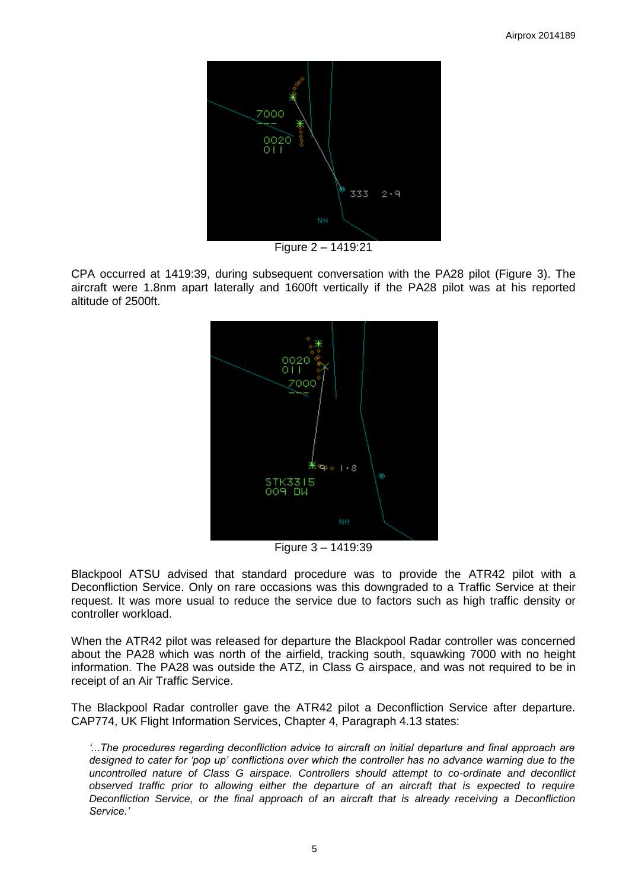

Figure 2 – 1419:21

CPA occurred at 1419:39, during subsequent conversation with the PA28 pilot (Figure 3). The aircraft were 1.8nm apart laterally and 1600ft vertically if the PA28 pilot was at his reported altitude of 2500ft.



Figure 3 – 1419:39

Blackpool ATSU advised that standard procedure was to provide the ATR42 pilot with a Deconfliction Service. Only on rare occasions was this downgraded to a Traffic Service at their request. It was more usual to reduce the service due to factors such as high traffic density or controller workload.

When the ATR42 pilot was released for departure the Blackpool Radar controller was concerned about the PA28 which was north of the airfield, tracking south, squawking 7000 with no height information. The PA28 was outside the ATZ, in Class G airspace, and was not required to be in receipt of an Air Traffic Service.

The Blackpool Radar controller gave the ATR42 pilot a Deconfliction Service after departure. CAP774, UK Flight Information Services, Chapter 4, Paragraph 4.13 states:

*'...The procedures regarding deconfliction advice to aircraft on initial departure and final approach are designed to cater for 'pop up' conflictions over which the controller has no advance warning due to the uncontrolled nature of Class G airspace. Controllers should attempt to co-ordinate and deconflict observed traffic prior to allowing either the departure of an aircraft that is expected to require Deconfliction Service, or the final approach of an aircraft that is already receiving a Deconfliction Service.'*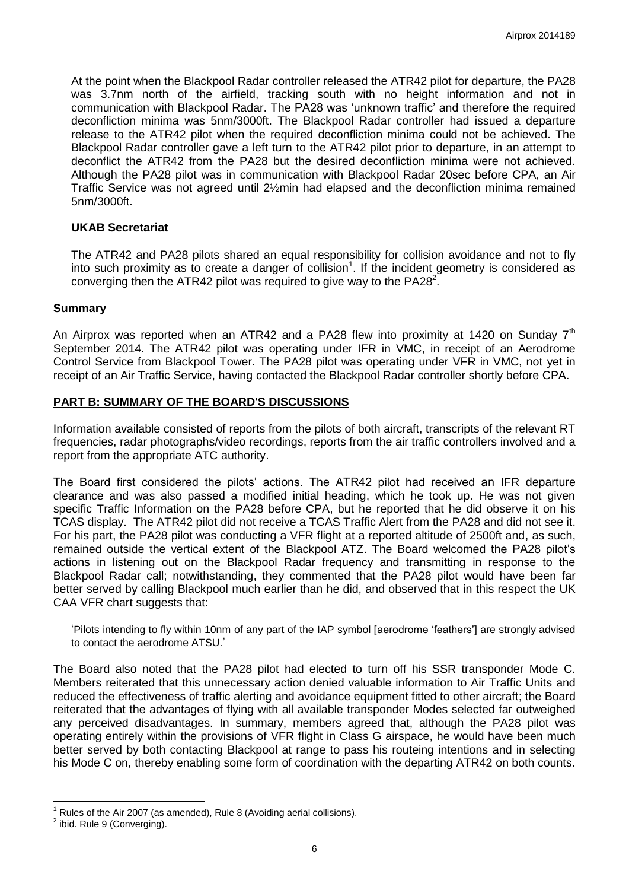At the point when the Blackpool Radar controller released the ATR42 pilot for departure, the PA28 was 3.7nm north of the airfield, tracking south with no height information and not in communication with Blackpool Radar. The PA28 was 'unknown traffic' and therefore the required deconfliction minima was 5nm/3000ft. The Blackpool Radar controller had issued a departure release to the ATR42 pilot when the required deconfliction minima could not be achieved. The Blackpool Radar controller gave a left turn to the ATR42 pilot prior to departure, in an attempt to deconflict the ATR42 from the PA28 but the desired deconfliction minima were not achieved. Although the PA28 pilot was in communication with Blackpool Radar 20sec before CPA, an Air Traffic Service was not agreed until 2½min had elapsed and the deconfliction minima remained 5nm/3000ft.

## **UKAB Secretariat**

The ATR42 and PA28 pilots shared an equal responsibility for collision avoidance and not to fly into such proximity as to create a danger of collision<sup>1</sup>. If the incident geometry is considered as converging then the ATR42 pilot was required to give way to the PA28 $2$ .

## **Summary**

An Airprox was reported when an ATR42 and a PA28 flew into proximity at 1420 on Sunday  $7<sup>th</sup>$ September 2014. The ATR42 pilot was operating under IFR in VMC, in receipt of an Aerodrome Control Service from Blackpool Tower. The PA28 pilot was operating under VFR in VMC, not yet in receipt of an Air Traffic Service, having contacted the Blackpool Radar controller shortly before CPA.

# **PART B: SUMMARY OF THE BOARD'S DISCUSSIONS**

Information available consisted of reports from the pilots of both aircraft, transcripts of the relevant RT frequencies, radar photographs/video recordings, reports from the air traffic controllers involved and a report from the appropriate ATC authority.

The Board first considered the pilots' actions. The ATR42 pilot had received an IFR departure clearance and was also passed a modified initial heading, which he took up. He was not given specific Traffic Information on the PA28 before CPA, but he reported that he did observe it on his TCAS display. The ATR42 pilot did not receive a TCAS Traffic Alert from the PA28 and did not see it. For his part, the PA28 pilot was conducting a VFR flight at a reported altitude of 2500ft and, as such, remained outside the vertical extent of the Blackpool ATZ. The Board welcomed the PA28 pilot's actions in listening out on the Blackpool Radar frequency and transmitting in response to the Blackpool Radar call; notwithstanding, they commented that the PA28 pilot would have been far better served by calling Blackpool much earlier than he did, and observed that in this respect the UK CAA VFR chart suggests that:

'Pilots intending to fly within 10nm of any part of the IAP symbol [aerodrome 'feathers'] are strongly advised to contact the aerodrome ATSU.'

The Board also noted that the PA28 pilot had elected to turn off his SSR transponder Mode C. Members reiterated that this unnecessary action denied valuable information to Air Traffic Units and reduced the effectiveness of traffic alerting and avoidance equipment fitted to other aircraft; the Board reiterated that the advantages of flying with all available transponder Modes selected far outweighed any perceived disadvantages. In summary, members agreed that, although the PA28 pilot was operating entirely within the provisions of VFR flight in Class G airspace, he would have been much better served by both contacting Blackpool at range to pass his routeing intentions and in selecting his Mode C on, thereby enabling some form of coordination with the departing ATR42 on both counts.

 $\overline{\phantom{a}}$ 

<sup>1</sup> Rules of the Air 2007 (as amended), Rule 8 (Avoiding aerial collisions).

 $2$  ibid. Rule 9 (Converging).